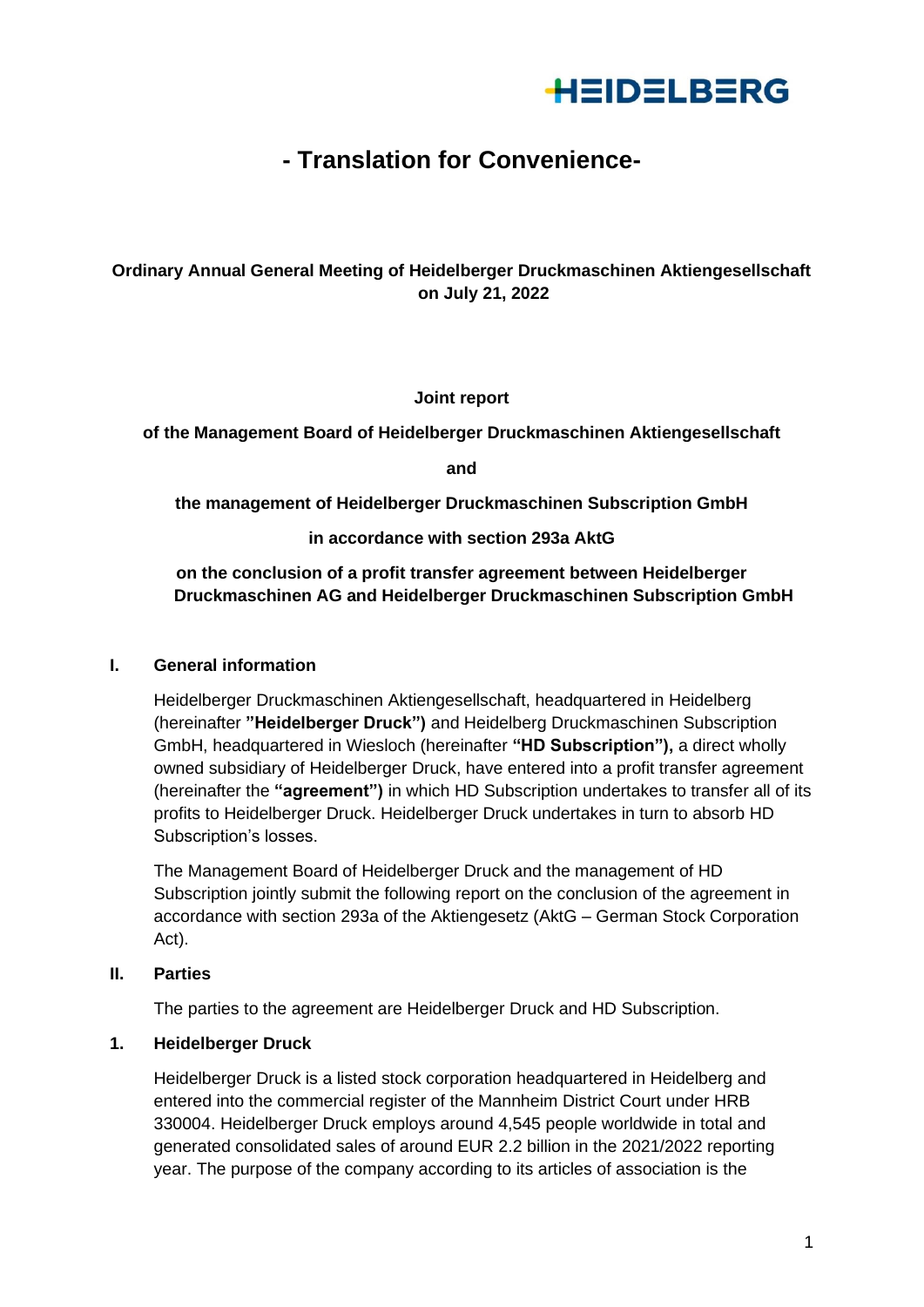

# **- Translation for Convenience-**

# **Ordinary Annual General Meeting of Heidelberger Druckmaschinen Aktiengesellschaft on July 21, 2022**

**Joint report**

**of the Management Board of Heidelberger Druckmaschinen Aktiengesellschaft**

**and**

**the management of Heidelberger Druckmaschinen Subscription GmbH**

**in accordance with section 293a AktG**

**on the conclusion of a profit transfer agreement between Heidelberger Druckmaschinen AG and Heidelberger Druckmaschinen Subscription GmbH**

## **I. General information**

Heidelberger Druckmaschinen Aktiengesellschaft, headquartered in Heidelberg (hereinafter **"Heidelberger Druck")** and Heidelberg Druckmaschinen Subscription GmbH, headquartered in Wiesloch (hereinafter **"HD Subscription"),** a direct wholly owned subsidiary of Heidelberger Druck, have entered into a profit transfer agreement (hereinafter the **"agreement")** in which HD Subscription undertakes to transfer all of its profits to Heidelberger Druck. Heidelberger Druck undertakes in turn to absorb HD Subscription's losses.

The Management Board of Heidelberger Druck and the management of HD Subscription jointly submit the following report on the conclusion of the agreement in accordance with section 293a of the Aktiengesetz (AktG – German Stock Corporation Act).

# **II. Parties**

The parties to the agreement are Heidelberger Druck and HD Subscription.

#### **1. Heidelberger Druck**

Heidelberger Druck is a listed stock corporation headquartered in Heidelberg and entered into the commercial register of the Mannheim District Court under HRB 330004. Heidelberger Druck employs around 4,545 people worldwide in total and generated consolidated sales of around EUR 2.2 billion in the 2021/2022 reporting year. The purpose of the company according to its articles of association is the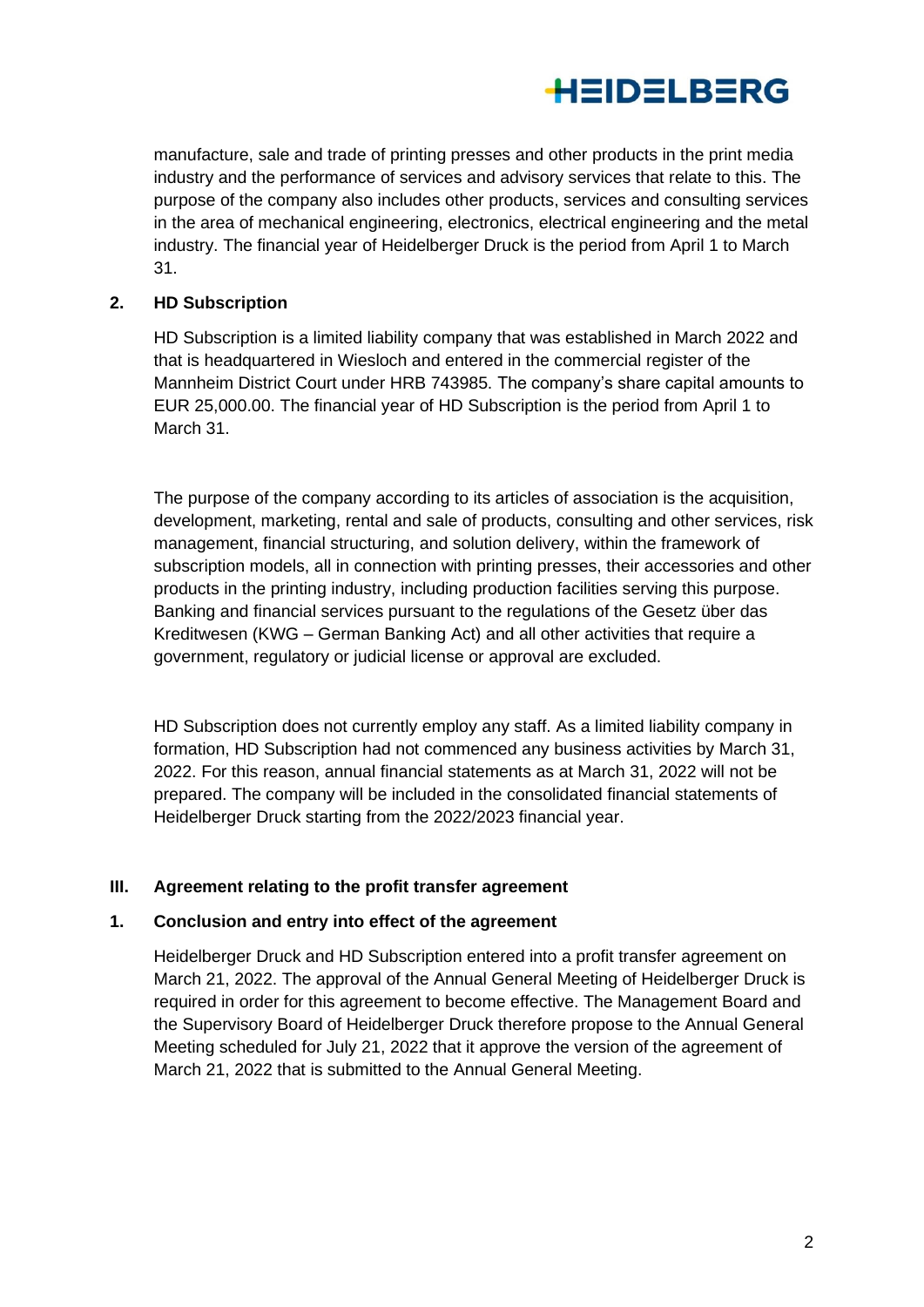

manufacture, sale and trade of printing presses and other products in the print media industry and the performance of services and advisory services that relate to this. The purpose of the company also includes other products, services and consulting services in the area of mechanical engineering, electronics, electrical engineering and the metal industry. The financial year of Heidelberger Druck is the period from April 1 to March 31.

#### **2. HD Subscription**

HD Subscription is a limited liability company that was established in March 2022 and that is headquartered in Wiesloch and entered in the commercial register of the Mannheim District Court under HRB 743985. The company's share capital amounts to EUR 25,000.00. The financial year of HD Subscription is the period from April 1 to March 31.

The purpose of the company according to its articles of association is the acquisition, development, marketing, rental and sale of products, consulting and other services, risk management, financial structuring, and solution delivery, within the framework of subscription models, all in connection with printing presses, their accessories and other products in the printing industry, including production facilities serving this purpose. Banking and financial services pursuant to the regulations of the Gesetz über das Kreditwesen (KWG – German Banking Act) and all other activities that require a government, regulatory or judicial license or approval are excluded.

HD Subscription does not currently employ any staff. As a limited liability company in formation, HD Subscription had not commenced any business activities by March 31, 2022. For this reason, annual financial statements as at March 31, 2022 will not be prepared. The company will be included in the consolidated financial statements of Heidelberger Druck starting from the 2022/2023 financial year.

#### **III. Agreement relating to the profit transfer agreement**

#### **1. Conclusion and entry into effect of the agreement**

Heidelberger Druck and HD Subscription entered into a profit transfer agreement on March 21, 2022. The approval of the Annual General Meeting of Heidelberger Druck is required in order for this agreement to become effective. The Management Board and the Supervisory Board of Heidelberger Druck therefore propose to the Annual General Meeting scheduled for July 21, 2022 that it approve the version of the agreement of March 21, 2022 that is submitted to the Annual General Meeting.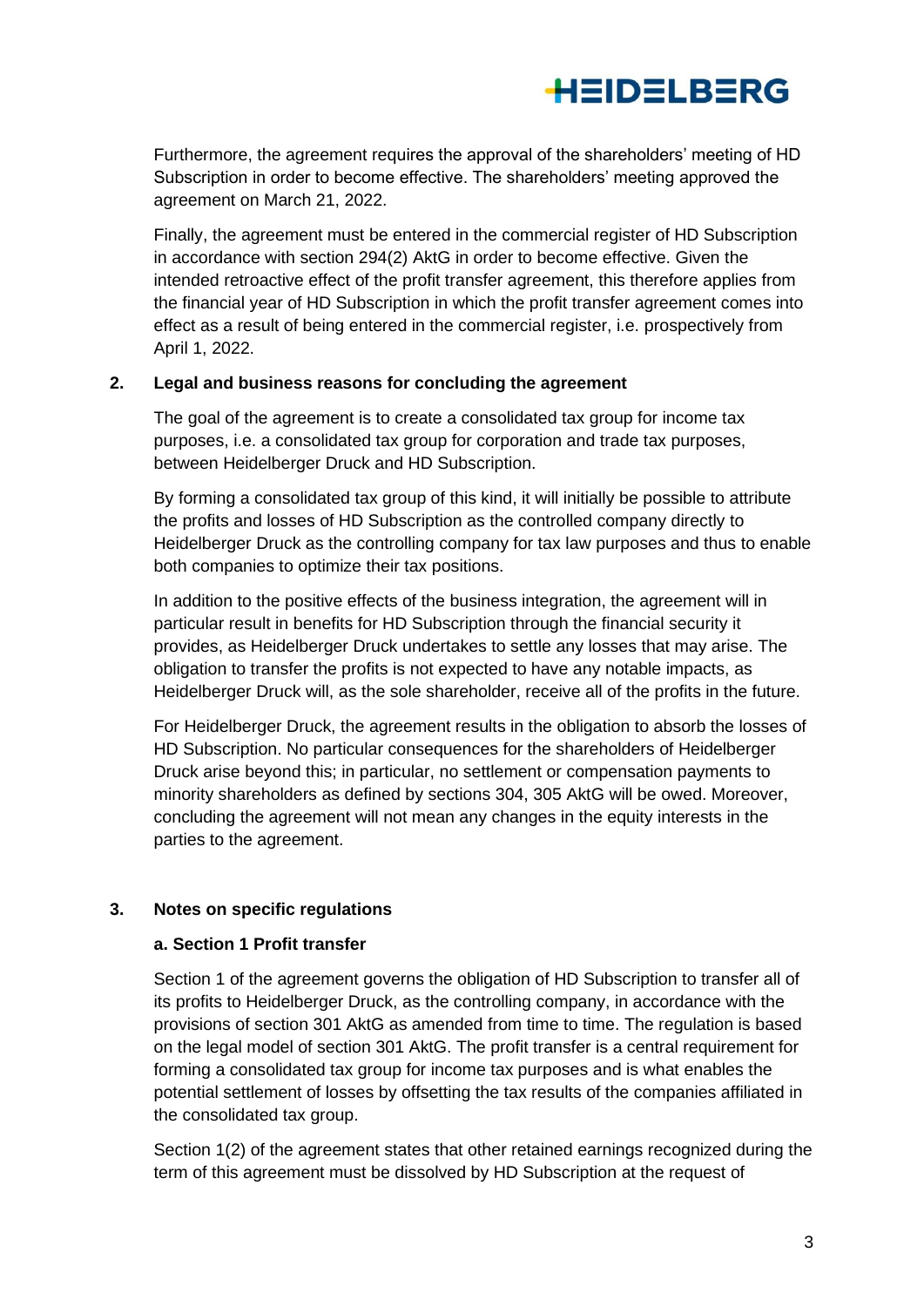

Furthermore, the agreement requires the approval of the shareholders' meeting of HD Subscription in order to become effective. The shareholders' meeting approved the agreement on March 21, 2022.

Finally, the agreement must be entered in the commercial register of HD Subscription in accordance with section 294(2) AktG in order to become effective. Given the intended retroactive effect of the profit transfer agreement, this therefore applies from the financial year of HD Subscription in which the profit transfer agreement comes into effect as a result of being entered in the commercial register, i.e. prospectively from April 1, 2022.

#### **2. Legal and business reasons for concluding the agreement**

The goal of the agreement is to create a consolidated tax group for income tax purposes, i.e. a consolidated tax group for corporation and trade tax purposes, between Heidelberger Druck and HD Subscription.

By forming a consolidated tax group of this kind, it will initially be possible to attribute the profits and losses of HD Subscription as the controlled company directly to Heidelberger Druck as the controlling company for tax law purposes and thus to enable both companies to optimize their tax positions.

In addition to the positive effects of the business integration, the agreement will in particular result in benefits for HD Subscription through the financial security it provides, as Heidelberger Druck undertakes to settle any losses that may arise. The obligation to transfer the profits is not expected to have any notable impacts, as Heidelberger Druck will, as the sole shareholder, receive all of the profits in the future.

For Heidelberger Druck, the agreement results in the obligation to absorb the losses of HD Subscription. No particular consequences for the shareholders of Heidelberger Druck arise beyond this; in particular, no settlement or compensation payments to minority shareholders as defined by sections 304, 305 AktG will be owed. Moreover, concluding the agreement will not mean any changes in the equity interests in the parties to the agreement.

#### **3. Notes on specific regulations**

#### **a. Section 1 Profit transfer**

Section 1 of the agreement governs the obligation of HD Subscription to transfer all of its profits to Heidelberger Druck, as the controlling company, in accordance with the provisions of section 301 AktG as amended from time to time. The regulation is based on the legal model of section 301 AktG. The profit transfer is a central requirement for forming a consolidated tax group for income tax purposes and is what enables the potential settlement of losses by offsetting the tax results of the companies affiliated in the consolidated tax group.

Section 1(2) of the agreement states that other retained earnings recognized during the term of this agreement must be dissolved by HD Subscription at the request of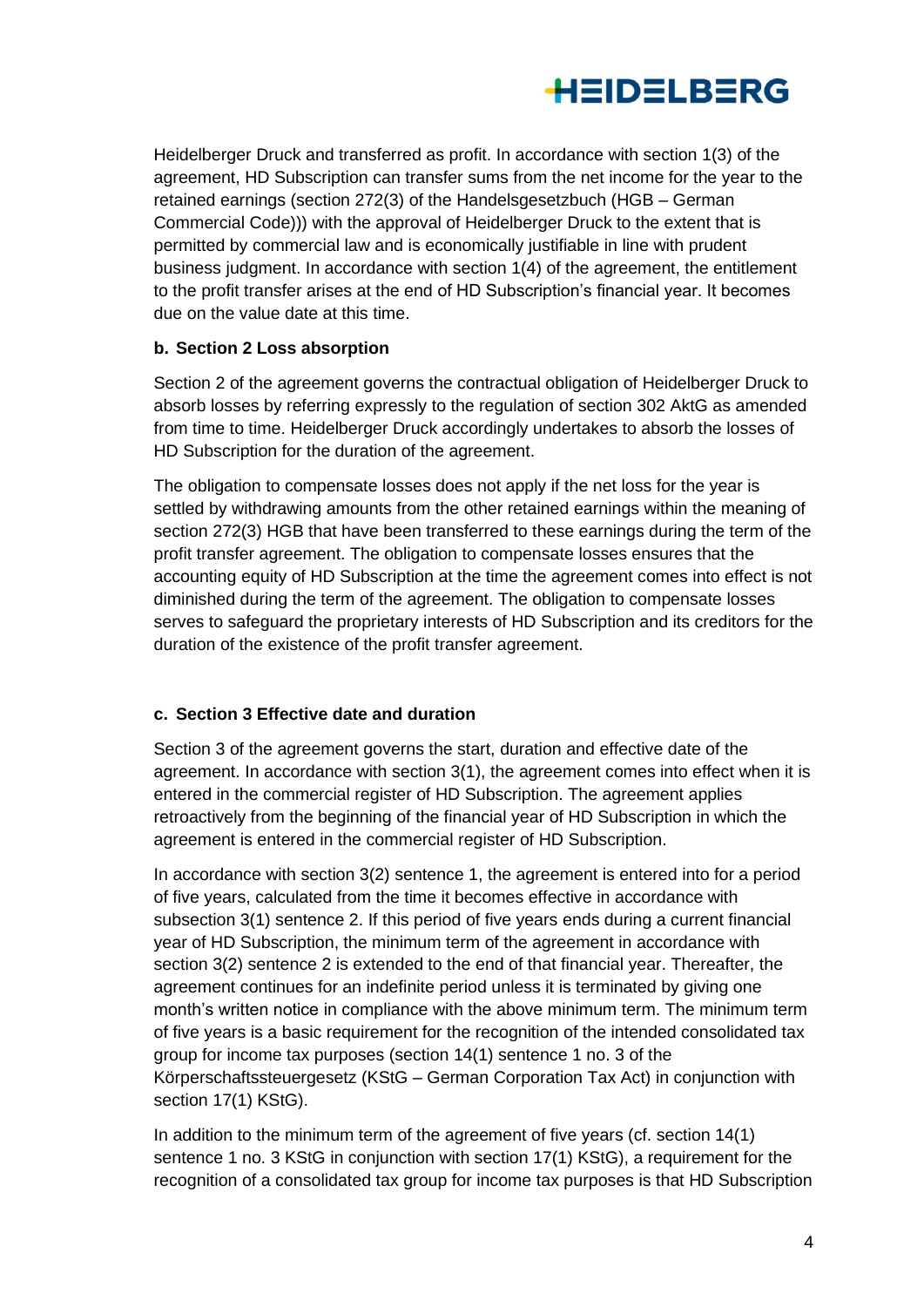

Heidelberger Druck and transferred as profit. In accordance with section 1(3) of the agreement, HD Subscription can transfer sums from the net income for the year to the retained earnings (section 272(3) of the Handelsgesetzbuch (HGB – German Commercial Code))) with the approval of Heidelberger Druck to the extent that is permitted by commercial law and is economically justifiable in line with prudent business judgment. In accordance with section 1(4) of the agreement, the entitlement to the profit transfer arises at the end of HD Subscription's financial year. It becomes due on the value date at this time.

## **b. Section 2 Loss absorption**

Section 2 of the agreement governs the contractual obligation of Heidelberger Druck to absorb losses by referring expressly to the regulation of section 302 AktG as amended from time to time. Heidelberger Druck accordingly undertakes to absorb the losses of HD Subscription for the duration of the agreement.

The obligation to compensate losses does not apply if the net loss for the year is settled by withdrawing amounts from the other retained earnings within the meaning of section 272(3) HGB that have been transferred to these earnings during the term of the profit transfer agreement. The obligation to compensate losses ensures that the accounting equity of HD Subscription at the time the agreement comes into effect is not diminished during the term of the agreement. The obligation to compensate losses serves to safeguard the proprietary interests of HD Subscription and its creditors for the duration of the existence of the profit transfer agreement.

#### **c. Section 3 Effective date and duration**

Section 3 of the agreement governs the start, duration and effective date of the agreement. In accordance with section 3(1), the agreement comes into effect when it is entered in the commercial register of HD Subscription. The agreement applies retroactively from the beginning of the financial year of HD Subscription in which the agreement is entered in the commercial register of HD Subscription.

In accordance with section 3(2) sentence 1, the agreement is entered into for a period of five years, calculated from the time it becomes effective in accordance with subsection 3(1) sentence 2. If this period of five years ends during a current financial year of HD Subscription, the minimum term of the agreement in accordance with section 3(2) sentence 2 is extended to the end of that financial year. Thereafter, the agreement continues for an indefinite period unless it is terminated by giving one month's written notice in compliance with the above minimum term. The minimum term of five years is a basic requirement for the recognition of the intended consolidated tax group for income tax purposes (section 14(1) sentence 1 no. 3 of the Körperschaftssteuergesetz (KStG – German Corporation Tax Act) in conjunction with section 17(1) KStG).

In addition to the minimum term of the agreement of five years (cf. section 14(1) sentence 1 no. 3 KStG in conjunction with section 17(1) KStG), a requirement for the recognition of a consolidated tax group for income tax purposes is that HD Subscription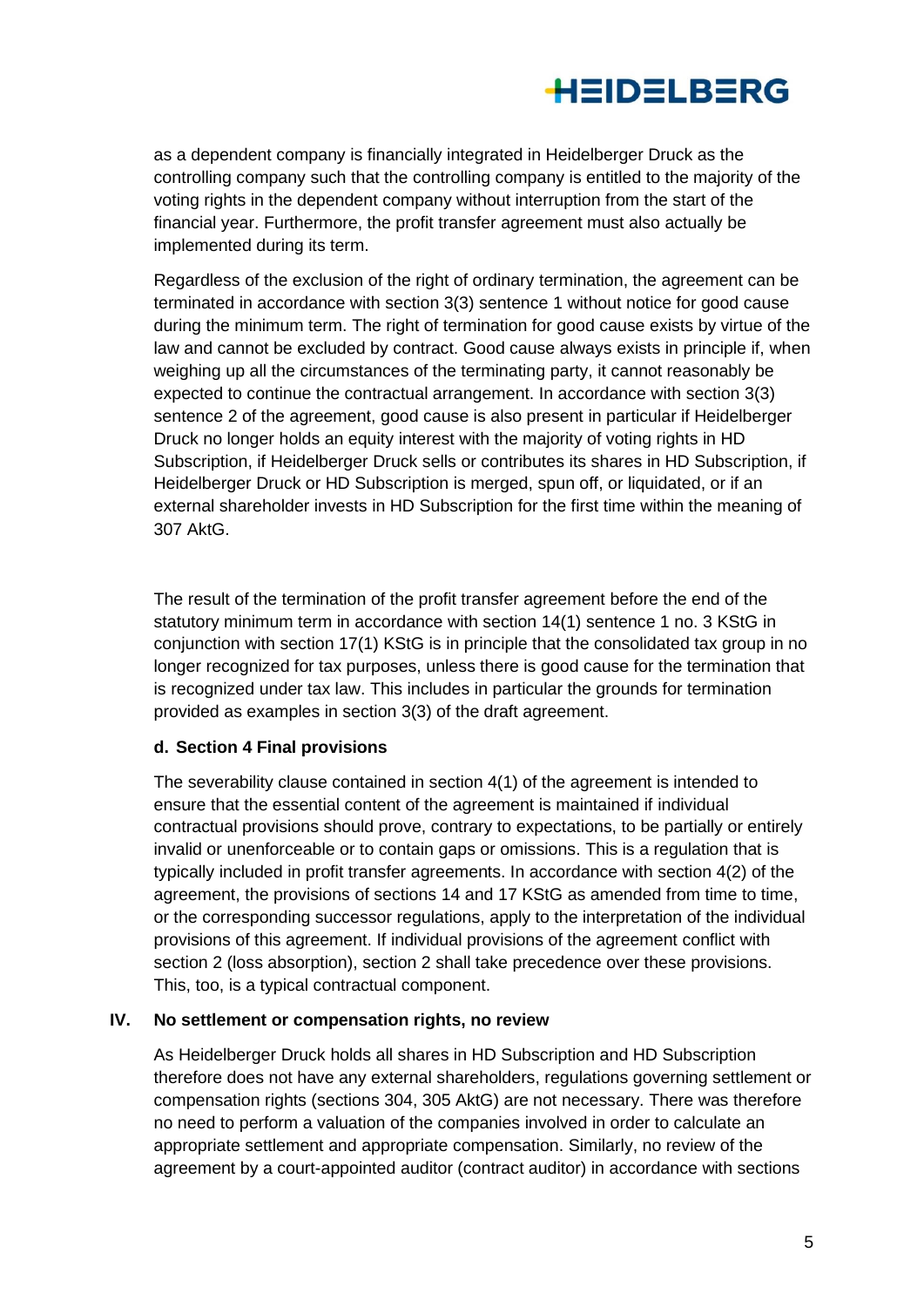

as a dependent company is financially integrated in Heidelberger Druck as the controlling company such that the controlling company is entitled to the majority of the voting rights in the dependent company without interruption from the start of the financial year. Furthermore, the profit transfer agreement must also actually be implemented during its term.

Regardless of the exclusion of the right of ordinary termination, the agreement can be terminated in accordance with section 3(3) sentence 1 without notice for good cause during the minimum term. The right of termination for good cause exists by virtue of the law and cannot be excluded by contract. Good cause always exists in principle if, when weighing up all the circumstances of the terminating party, it cannot reasonably be expected to continue the contractual arrangement. In accordance with section 3(3) sentence 2 of the agreement, good cause is also present in particular if Heidelberger Druck no longer holds an equity interest with the majority of voting rights in HD Subscription, if Heidelberger Druck sells or contributes its shares in HD Subscription, if Heidelberger Druck or HD Subscription is merged, spun off, or liquidated, or if an external shareholder invests in HD Subscription for the first time within the meaning of 307 AktG.

The result of the termination of the profit transfer agreement before the end of the statutory minimum term in accordance with section 14(1) sentence 1 no. 3 KStG in conjunction with section 17(1) KStG is in principle that the consolidated tax group in no longer recognized for tax purposes, unless there is good cause for the termination that is recognized under tax law. This includes in particular the grounds for termination provided as examples in section 3(3) of the draft agreement.

#### **d. Section 4 Final provisions**

The severability clause contained in section 4(1) of the agreement is intended to ensure that the essential content of the agreement is maintained if individual contractual provisions should prove, contrary to expectations, to be partially or entirely invalid or unenforceable or to contain gaps or omissions. This is a regulation that is typically included in profit transfer agreements. In accordance with section 4(2) of the agreement, the provisions of sections 14 and 17 KStG as amended from time to time, or the corresponding successor regulations, apply to the interpretation of the individual provisions of this agreement. If individual provisions of the agreement conflict with section 2 (loss absorption), section 2 shall take precedence over these provisions. This, too, is a typical contractual component.

#### **IV. No settlement or compensation rights, no review**

As Heidelberger Druck holds all shares in HD Subscription and HD Subscription therefore does not have any external shareholders, regulations governing settlement or compensation rights (sections 304, 305 AktG) are not necessary. There was therefore no need to perform a valuation of the companies involved in order to calculate an appropriate settlement and appropriate compensation. Similarly, no review of the agreement by a court-appointed auditor (contract auditor) in accordance with sections